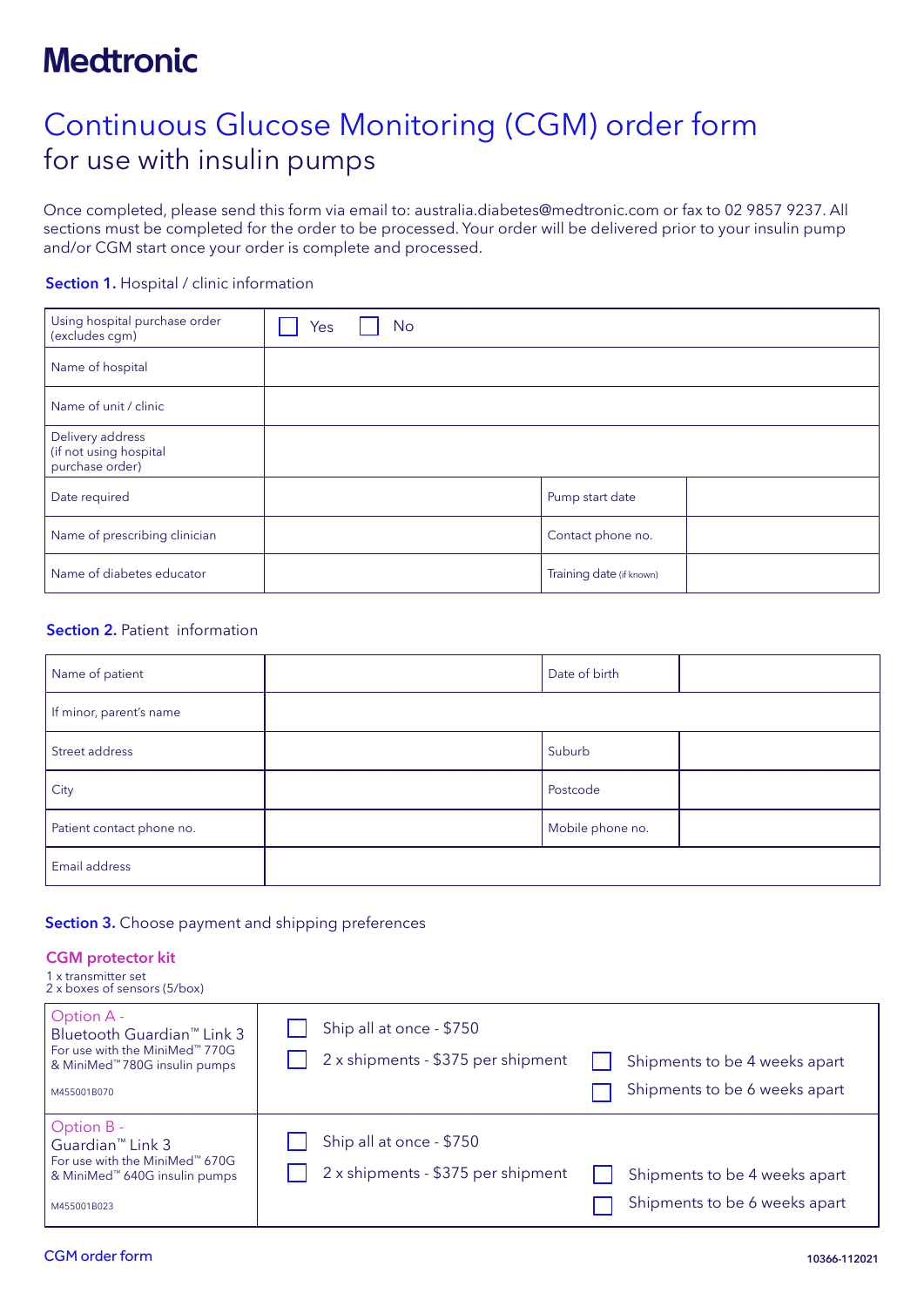# **Medtronic**

# Continuous Glucose Monitoring (CGM) order form for use with insulin pumps

Once completed, please send this form via email to: australia.diabetes@medtronic.com or fax to 02 9857 9237. All sections must be completed for the order to be processed. Your order will be delivered prior to your insulin pump and/or CGM start once your order is complete and processed.

#### Section 1. Hospital / clinic information

| Using hospital purchase order<br>(excludes cgm)               | Yes | No |  |                          |  |
|---------------------------------------------------------------|-----|----|--|--------------------------|--|
| Name of hospital                                              |     |    |  |                          |  |
| Name of unit / clinic                                         |     |    |  |                          |  |
| Delivery address<br>(if not using hospital<br>purchase order) |     |    |  |                          |  |
| Date required                                                 |     |    |  | Pump start date          |  |
| Name of prescribing clinician                                 |     |    |  | Contact phone no.        |  |
| Name of diabetes educator                                     |     |    |  | Training date (if known) |  |

#### Section 2. Patient information

| Name of patient           | Date of birth    |  |
|---------------------------|------------------|--|
| If minor, parent's name   |                  |  |
| Street address            | Suburb           |  |
| City                      | Postcode         |  |
| Patient contact phone no. | Mobile phone no. |  |
| Email address             |                  |  |

#### Section 3. Choose payment and shipping preferences

#### CGM protector kit 1 x transmitter set

| 2 x boxes of sensors (5/box)                                                                                                                          |                                                                                                                                  |
|-------------------------------------------------------------------------------------------------------------------------------------------------------|----------------------------------------------------------------------------------------------------------------------------------|
| Option A -<br>Bluetooth Guardian <sup>™</sup> Link 3<br>For use with the MiniMed™ 770G<br>& MiniMed <sup>™</sup> 780G insulin pumps<br>M455001B070    | Ship all at once - \$750<br>2 x shipments - \$375 per shipment<br>Shipments to be 4 weeks apart<br>Shipments to be 6 weeks apart |
| Option B -<br>Guardian <sup>™</sup> Link 3<br>For use with the MiniMed <sup>**</sup> 670G<br>& MiniMed <sup>™</sup> 640G insulin pumps<br>M455001B023 | Ship all at once - \$750<br>2 x shipments - \$375 per shipment<br>Shipments to be 4 weeks apart<br>Shipments to be 6 weeks apart |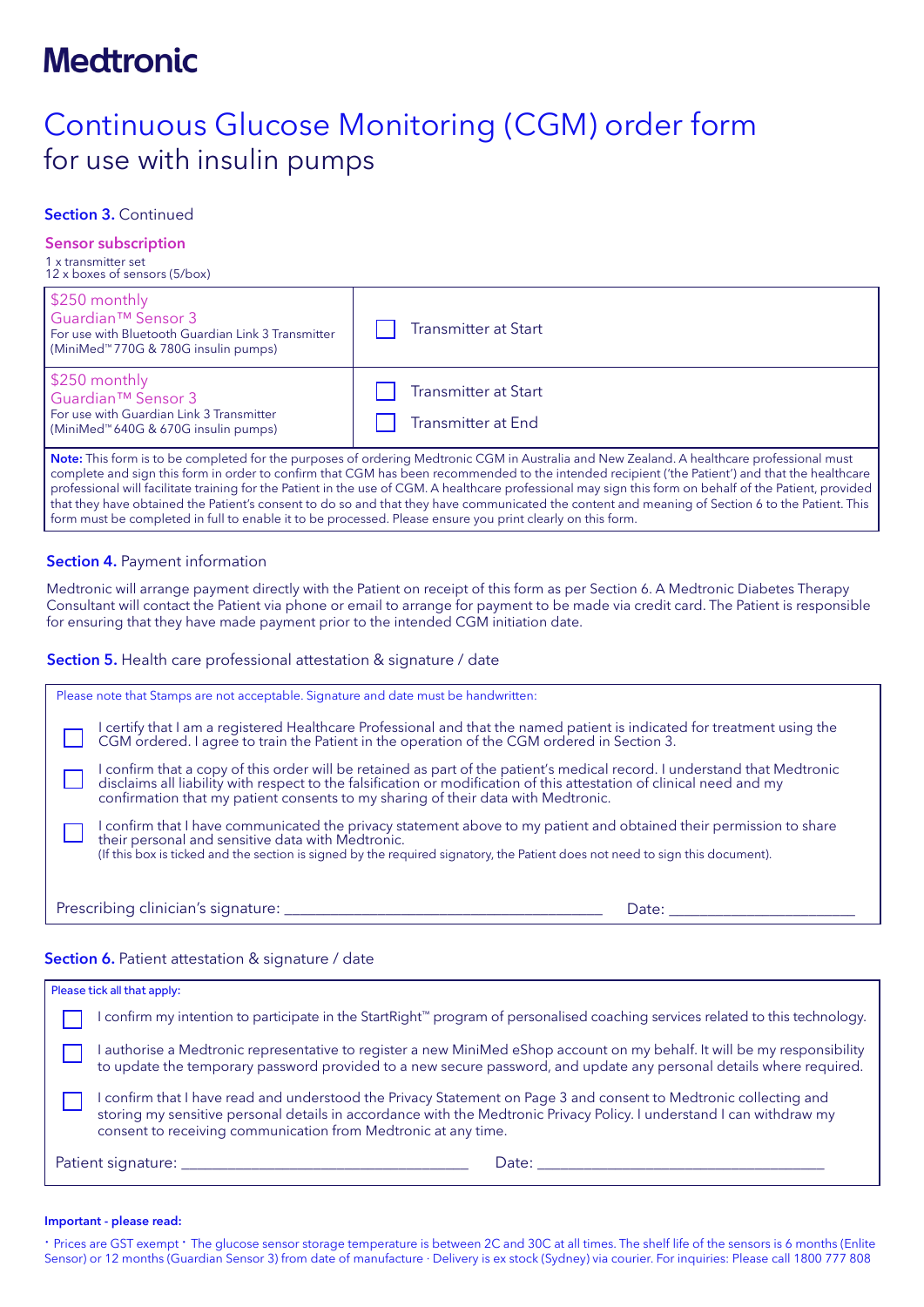# **Medtronic**

# Continuous Glucose Monitoring (CGM) order form for use with insulin pumps

## Section 3. Continued

## Sensor subscription

1 x transmitter set 12 x boxes of sensors (5/box)

| \$250 monthly<br>Guardian <sup>™</sup> Sensor 3<br>l For use with Bluetooth Guardian Link 3 Transmitter<br>  (MiniMed™770G & 780G insulin pumps) | <b>Transmitter at Start</b>                                                                                                                              |
|--------------------------------------------------------------------------------------------------------------------------------------------------|----------------------------------------------------------------------------------------------------------------------------------------------------------|
| \$250 monthly<br>l Guardian™ Sensor 3<br>l For use with Guardian Link 3 Transmitter<br>  (MiniMed™640G & 670G insulin pumps)                     | <b>Transmitter at Start</b><br><b>Transmitter at End</b>                                                                                                 |
|                                                                                                                                                  | $\blacksquare$ Nets This form is to be completed for the nursesses of ordering Modtronic CCM in Australia and New Zeeland A hoolthcare professional must |

his form is to be completed for the purposes of ordering Medtronic CGM in Australia and New Zealand. A healthcare professional must complete and sign this form in order to confirm that CGM has been recommended to the intended recipient ('the Patient') and that the healthcare professional will facilitate training for the Patient in the use of CGM. A healthcare professional may sign this form on behalf of the Patient, provided that they have obtained the Patient's consent to do so and that they have communicated the content and meaning of Section 6 to the Patient. This form must be completed in full to enable it to be processed. Please ensure you print clearly on this form.

### **Section 4. Payment information**

Medtronic will arrange payment directly with the Patient on receipt of this form as per Section 6. A Medtronic Diabetes Therapy Consultant will contact the Patient via phone or email to arrange for payment to be made via credit card. The Patient is responsible for ensuring that they have made payment prior to the intended CGM initiation date.

#### Section 5. Health care professional attestation & signature / date

| Please note that Stamps are not acceptable. Signature and date must be handwritten:                                                                                                                                                                                                                                 |  |
|---------------------------------------------------------------------------------------------------------------------------------------------------------------------------------------------------------------------------------------------------------------------------------------------------------------------|--|
| I certify that I am a registered Healthcare Professional and that the named patient is indicated for treatment using the CGM ordered. I agree to train the Patient in the operation of the CGM ordered in Section 3.                                                                                                |  |
| I confirm that a copy of this order will be retained as part of the patient's medical record. I understand that Medtronic disclaims all liability with respect to the falsification or modification of this attestation of cli<br>confirmation that my patient consents to my sharing of their data with Medtronic. |  |
| I confirm that I have communicated the privacy statement above to my patient and obtained their permission to share<br>their personal and sensitive data with Medtronic.<br>(If this box is ticked and the section is signed by the required signatory, the Patient does not need to sign this document).           |  |
| Prescribing clinician's signature: __________<br>Date:                                                                                                                                                                                                                                                              |  |

### Section 6. Patient attestation & signature / date

|                                 | Please tick all that apply:                                                                                                                                                                                                                                                                                |  |  |
|---------------------------------|------------------------------------------------------------------------------------------------------------------------------------------------------------------------------------------------------------------------------------------------------------------------------------------------------------|--|--|
|                                 | l confirm my intention to participate in the StartRight™ program of personalised coaching services related to this technology.                                                                                                                                                                             |  |  |
|                                 | I authorise a Medtronic representative to register a new MiniMed eShop account on my behalf. It will be my responsibility<br>to update the temporary password provided to a new secure password, and update any personal details where required.                                                           |  |  |
|                                 | confirm that I have read and understood the Privacy Statement on Page 3 and consent to Medtronic collecting and<br>storing my sensitive personal details in accordance with the Medtronic Privacy Policy. I understand I can withdraw my<br>consent to receiving communication from Medtronic at any time. |  |  |
| Date: <u>__________________</u> |                                                                                                                                                                                                                                                                                                            |  |  |

#### Important - please read:

· Prices are GST exempt · The glucose sensor storage temperature is between 2C and 30C at all times. The shelf life of the sensors is 6 months (Enlite Sensor) or 12 months (Guardian Sensor 3) from date of manufacture · Delivery is ex stock (Sydney) via courier. For inquiries: Please call 1800 777 808